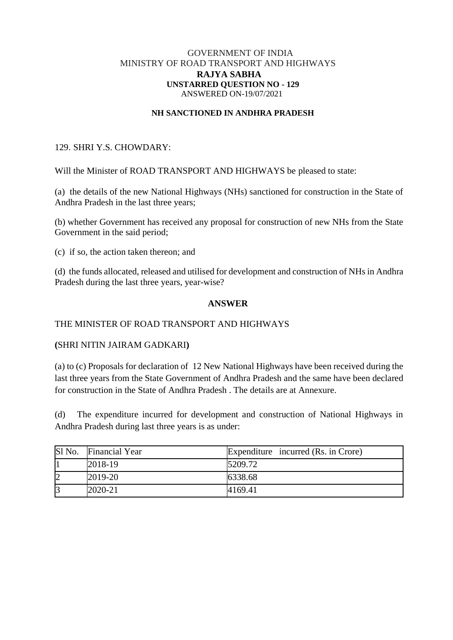### GOVERNMENT OF INDIA MINISTRY OF ROAD TRANSPORT AND HIGHWAYS **RAJYA SABHA UNSTARRED QUESTION NO - 129** ANSWERED ON-19/07/2021

#### **NH SANCTIONED IN ANDHRA PRADESH**

# 129. SHRI Y.S. CHOWDARY:

Will the Minister of ROAD TRANSPORT AND HIGHWAYS be pleased to state:

(a) the details of the new National Highways (NHs) sanctioned for construction in the State of Andhra Pradesh in the last three years;

(b) whether Government has received any proposal for construction of new NHs from the State Government in the said period;

(c) if so, the action taken thereon; and

(d) the funds allocated, released and utilised for development and construction of NHs in Andhra Pradesh during the last three years, year-wise?

### **ANSWER**

# THE MINISTER OF ROAD TRANSPORT AND HIGHWAYS

### **(**SHRI NITIN JAIRAM GADKARI**)**

(a) to (c) Proposals for declaration of 12 New National Highways have been received during the last three years from the State Government of Andhra Pradesh and the same have been declared for construction in the State of Andhra Pradesh . The details are at Annexure.

(d) The expenditure incurred for development and construction of National Highways in Andhra Pradesh during last three years is as under:

| Sl No. | <b>Financial Year</b> | Expenditure incurred (Rs. in Crore) |
|--------|-----------------------|-------------------------------------|
|        | 2018-19               | 5209.72                             |
|        | 2019-20               | 6338.68                             |
|        | 2020-21               | 4169.41                             |